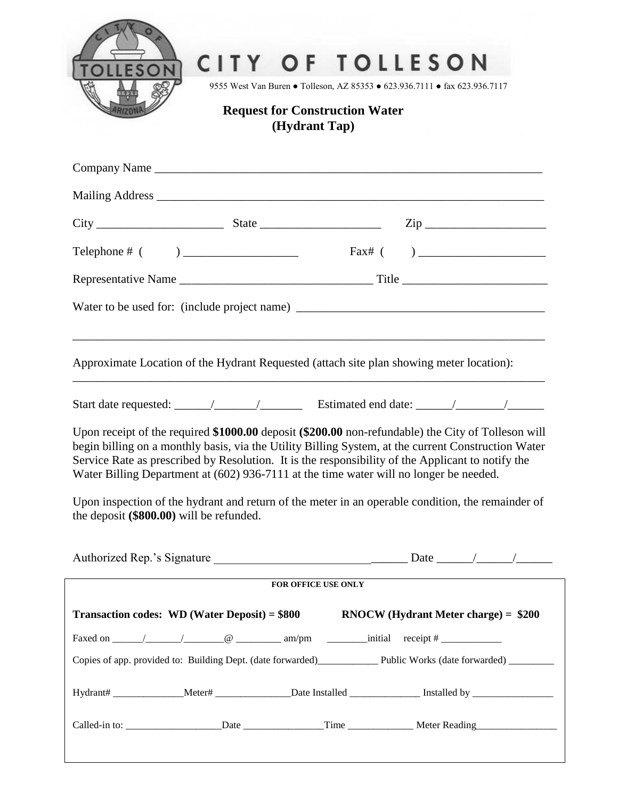

## CITY OF TOLLESON

9555 West Van Buren ● Tolleson, AZ 85353 ● 623.936.7111 ● fax 623.936.7117

## **Request for Construction Water (Hydrant Tap)**

|  |                                          | Approximate Location of the Hydrant Requested (attach site plan showing meter location): |                                                                                                                                                                                                                                                                                                                |  |
|--|------------------------------------------|------------------------------------------------------------------------------------------|----------------------------------------------------------------------------------------------------------------------------------------------------------------------------------------------------------------------------------------------------------------------------------------------------------------|--|
|  |                                          |                                                                                          |                                                                                                                                                                                                                                                                                                                |  |
|  |                                          | Water Billing Department at (602) 936-7111 at the time water will no longer be needed.   | Upon receipt of the required \$1000.00 deposit (\$200.00 non-refundable) the City of Tolleson will<br>begin billing on a monthly basis, via the Utility Billing System, at the current Construction Water<br>Service Rate as prescribed by Resolution. It is the responsibility of the Applicant to notify the |  |
|  | the deposit (\$800.00) will be refunded. |                                                                                          | Upon inspection of the hydrant and return of the meter in an operable condition, the remainder of                                                                                                                                                                                                              |  |
|  |                                          |                                                                                          |                                                                                                                                                                                                                                                                                                                |  |
|  |                                          | FOR OFFICE USE ONLY                                                                      |                                                                                                                                                                                                                                                                                                                |  |
|  |                                          |                                                                                          | Transaction codes: WD (Water Deposit) = $$800$ RNOCW (Hydrant Meter charge) = $$200$                                                                                                                                                                                                                           |  |
|  |                                          |                                                                                          |                                                                                                                                                                                                                                                                                                                |  |
|  |                                          |                                                                                          | Copies of app. provided to: Building Dept. (date forwarded)______________________ Public Works (date forwarded)_____________                                                                                                                                                                                   |  |
|  |                                          |                                                                                          | Hydrant# ________________Meter# ________________Date Installed __________________ Installed by _____________________                                                                                                                                                                                           |  |
|  |                                          |                                                                                          |                                                                                                                                                                                                                                                                                                                |  |
|  |                                          |                                                                                          |                                                                                                                                                                                                                                                                                                                |  |